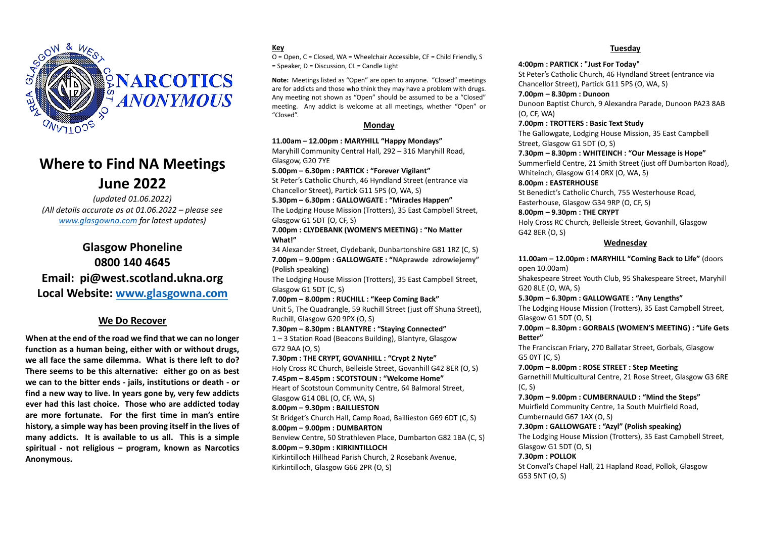

# **Where to Find NA Meetings June 2022**

*(updated 01.06.2022) (All details accurate as at 01.06.2022 – please see [www.glasgowna.com](http://www.glasgowna.com/) for latest updates)*

# **Glasgow Phoneline 0800 140 4645 Email: pi@west.scotland.ukna.org Local Website: [www.glasgowna.com](http://www.glasgowna.com/)**

# **We Do Recover**

**When at the end of the road we find that we can no longer function as a human being, either with or without drugs, we all face the same dilemma. What is there left to do? There seems to be this alternative: either go on as best we can to the bitter ends - jails, institutions or death - or find a new way to live. In years gone by, very few addicts ever had this last choice. Those who are addicted today are more fortunate. For the first time in man's entire history, a simple way has been proving itself in the lives of many addicts. It is available to us all. This is a simple spiritual - not religious – program, known as Narcotics Anonymous.**

### **Key**

O = Open, C = Closed, WA = Wheelchair Accessible, CF = Child Friendly, S = Speaker, D = Discussion, CL = Candle Light

**Note:** Meetings listed as "Open" are open to anyone. "Closed" meetings are for addicts and those who think they may have a problem with drugs. Any meeting not shown as "Open" should be assumed to be a "Closed" meeting. Any addict is welcome at all meetings, whether "Open" or "Closed".

### **Monday**

**11.00am – 12.00pm : MARYHILL "Happy Mondays"** Maryhill Community Central Hall, 292 – 316 Maryhill Road, Glasgow, G20 7YE

**5.00pm – 6.30pm : PARTICK : "Forever Vigilant"**

St Peter's Catholic Church, 46 Hyndland Street (entrance via Chancellor Street), Partick G11 5PS (O, WA, S)

**5.30pm – 6.30pm : GALLOWGATE : "Miracles Happen"**

The Lodging House Mission (Trotters), 35 East Campbell Street, Glasgow G1 5DT (O, CF, S)

**7.00pm : CLYDEBANK (WOMEN'S MEETING) : "No Matter What!"**

34 Alexander Street, Clydebank, Dunbartonshire G81 1RZ (C, S) **7.00pm – 9.00pm : GALLOWGATE : "NAprawde zdrowiejemy" (Polish speaking)**

The Lodging House Mission (Trotters), 35 East Campbell Street, Glasgow G1 5DT (C, S)

**7.00pm – 8.00pm : RUCHILL : "Keep Coming Back"**

Unit 5, The Quadrangle, 59 Ruchill Street (just off Shuna Street), Ruchill, Glasgow G20 9PX (O, S)

**7.30pm – 8.30pm : BLANTYRE : "Staying Connected"**

1 – 3 Station Road (Beacons Building), Blantyre, Glasgow G72 9AA (O, S)

**7.30pm : THE CRYPT, GOVANHILL : "Crypt 2 Nyte"**

Holy Cross RC Church, Belleisle Street, Govanhill G42 8ER (O, S) **7.45pm – 8.45pm : SCOTSTOUN : "Welcome Home"**

Heart of Scotstoun Community Centre, 64 Balmoral Street, Glasgow G14 0BL (O, CF, WA, S)

**8.00pm – 9.30pm : BAILLIESTON**

St Bridget's Church Hall, Camp Road, Baillieston G69 6DT (C, S) **8.00pm – 9.00pm : DUMBARTON**

Benview Centre, 50 Strathleven Place, Dumbarton G82 1BA (C, S) **8.00pm – 9.30pm : KIRKINTILLOCH**

Kirkintilloch Hillhead Parish Church, 2 Rosebank Avenue, Kirkintilloch, Glasgow G66 2PR (O, S)

### **Tuesday**

#### **4:00pm : PARTICK : "Just For Today"**

St Peter's Catholic Church, 46 Hyndland Street (entrance via Chancellor Street), Partick G11 5PS (O, WA, S)

**7.00pm – 8.30pm : Dunoon**

Dunoon Baptist Church, 9 Alexandra Parade, Dunoon PA23 8AB (O, CF, WA)

**7.00pm : TROTTERS : Basic Text Study**

The Gallowgate, Lodging House Mission, 35 East Campbell Street, Glasgow G1 5DT (O, S)

**7.30pm – 8.30pm : WHITEINCH : "Our Message is Hope"**

Summerfield Centre, 21 Smith Street (just off Dumbarton Road), Whiteinch, Glasgow G14 0RX (O, WA, S)

**8.00pm : EASTERHOUSE** St Benedict's Catholic Church, 755 Westerhouse Road,

Easterhouse, Glasgow G34 9RP (O, CF, S)

**8.00pm – 9.30pm : THE CRYPT** Holy Cross RC Church, Belleisle Street, Govanhill, Glasgow G42 8ER (O, S)

#### **Wednesday**

**11.00am – 12.00pm : MARYHILL "Coming Back to Life"** (doors open 10.00am)

Shakespeare Street Youth Club, 95 Shakespeare Street, Maryhill G20 8LE (O, WA, S)

**5.30pm – 6.30pm : GALLOWGATE : "Any Lengths"**

The Lodging House Mission (Trotters), 35 East Campbell Street, Glasgow G1 5DT (O, S)

**7.00pm – 8.30pm : GORBALS (WOMEN'S MEETING) : "Life Gets Better"**

The Franciscan Friary, 270 Ballatar Street, Gorbals, Glasgow G5 0YT (C, S)

**7.00pm – 8.00pm : ROSE STREET : Step Meeting** Garnethill Multicultural Centre, 21 Rose Street, Glasgow G3 6RE (C, S)

**7.30pm – 9.00pm : CUMBERNAULD : "Mind the Steps"** Muirfield Community Centre, 1a South Muirfield Road, Cumbernauld G67 1AX (O, S)

**7.30pm : GALLOWGATE : "Azyl" (Polish speaking)**

The Lodging House Mission (Trotters), 35 East Campbell Street, Glasgow G1 5DT (O, S)

**7.30pm : POLLOK**

St Conval's Chapel Hall, 21 Hapland Road, Pollok, Glasgow G53 5NT (O, S)